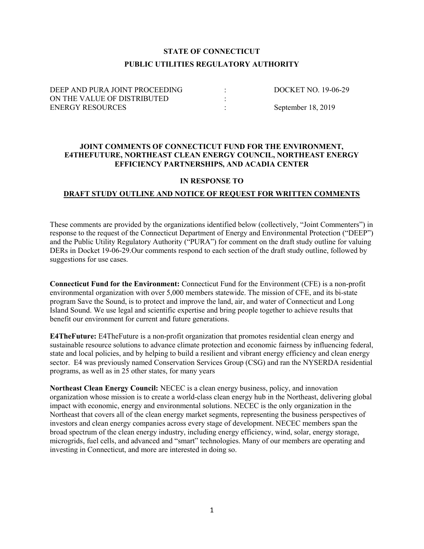# STATE OF CONNECTICUT PUBLIC UTILITIES REGULATORY AUTHORITY

| DEEP AND PURA JOINT PROCEEDING | DOCKET NO. 19-06-29 |
|--------------------------------|---------------------|
| ON THE VALUE OF DISTRIBUTED    |                     |
| <b>ENERGY RESOURCES</b>        | September 18, 2019  |

### JOINT COMMENTS OF CONNECTICUT FUND FOR THE ENVIRONMENT, E4THEFUTURE, NORTHEAST CLEAN ENERGY COUNCIL, NORTHEAST ENERGY EFFICIENCY PARTNERSHIPS, AND ACADIA CENTER

### IN RESPONSE TO

## DRAFT STUDY OUTLINE AND NOTICE OF REQUEST FOR WRITTEN COMMENTS

These comments are provided by the organizations identified below (collectively, "Joint Commenters") in response to the request of the Connecticut Department of Energy and Environmental Protection ("DEEP") and the Public Utility Regulatory Authority ("PURA") for comment on the draft study outline for valuing DERs in Docket 19-06-29.Our comments respond to each section of the draft study outline, followed by suggestions for use cases.

Connecticut Fund for the Environment: Connecticut Fund for the Environment (CFE) is a non-profit environmental organization with over 5,000 members statewide. The mission of CFE, and its bi-state program Save the Sound, is to protect and improve the land, air, and water of Connecticut and Long Island Sound. We use legal and scientific expertise and bring people together to achieve results that benefit our environment for current and future generations.

E4TheFuture: E4TheFuture is a non-profit organization that promotes residential clean energy and sustainable resource solutions to advance climate protection and economic fairness by influencing federal, state and local policies, and by helping to build a resilient and vibrant energy efficiency and clean energy sector. E4 was previously named Conservation Services Group (CSG) and ran the NYSERDA residential programs, as well as in 25 other states, for many years

Northeast Clean Energy Council: NECEC is a clean energy business, policy, and innovation organization whose mission is to create a world-class clean energy hub in the Northeast, delivering global impact with economic, energy and environmental solutions. NECEC is the only organization in the Northeast that covers all of the clean energy market segments, representing the business perspectives of investors and clean energy companies across every stage of development. NECEC members span the broad spectrum of the clean energy industry, including energy efficiency, wind, solar, energy storage, microgrids, fuel cells, and advanced and "smart" technologies. Many of our members are operating and investing in Connecticut, and more are interested in doing so.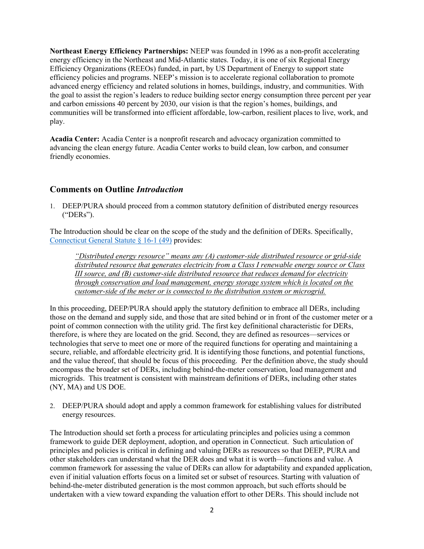Northeast Energy Efficiency Partnerships: NEEP was founded in 1996 as a non-profit accelerating energy efficiency in the Northeast and Mid-Atlantic states. Today, it is one of six Regional Energy Efficiency Organizations (REEOs) funded, in part, by US Department of Energy to support state efficiency policies and programs. NEEP's mission is to accelerate regional collaboration to promote advanced energy efficiency and related solutions in homes, buildings, industry, and communities. With the goal to assist the region's leaders to reduce building sector energy consumption three percent per year and carbon emissions 40 percent by 2030, our vision is that the region's homes, buildings, and communities will be transformed into efficient affordable, low-carbon, resilient places to live, work, and play.

Acadia Center: Acadia Center is a nonprofit research and advocacy organization committed to advancing the clean energy future. Acadia Center works to build clean, low carbon, and consumer friendly economies.

# Comments on Outline Introduction

1. DEEP/PURA should proceed from a common statutory definition of distributed energy resources ("DERs").

The Introduction should be clear on the scope of the study and the definition of DERs. Specifically, Connecticut General Statute § 16-1 (49) provides:

"Distributed energy resource" means any (A) customer-side distributed resource or grid-side distributed resource that generates electricity from a Class I renewable energy source or Class III source, and (B) customer-side distributed resource that reduces demand for electricity through conservation and load management, energy storage system which is located on the customer-side of the meter or is connected to the distribution system or microgrid.

In this proceeding, DEEP/PURA should apply the statutory definition to embrace all DERs, including those on the demand and supply side, and those that are sited behind or in front of the customer meter or a point of common connection with the utility grid. The first key definitional characteristic for DERs, therefore, is where they are located on the grid. Second, they are defined as resources—services or technologies that serve to meet one or more of the required functions for operating and maintaining a secure, reliable, and affordable electricity grid. It is identifying those functions, and potential functions, and the value thereof, that should be focus of this proceeding. Per the definition above, the study should encompass the broader set of DERs, including behind-the-meter conservation, load management and microgrids. This treatment is consistent with mainstream definitions of DERs, including other states (NY, MA) and US DOE.

2. DEEP/PURA should adopt and apply a common framework for establishing values for distributed energy resources.

The Introduction should set forth a process for articulating principles and policies using a common framework to guide DER deployment, adoption, and operation in Connecticut. Such articulation of principles and policies is critical in defining and valuing DERs as resources so that DEEP, PURA and other stakeholders can understand what the DER does and what it is worth—functions and value. A common framework for assessing the value of DERs can allow for adaptability and expanded application, even if initial valuation efforts focus on a limited set or subset of resources. Starting with valuation of behind-the-meter distributed generation is the most common approach, but such efforts should be undertaken with a view toward expanding the valuation effort to other DERs. This should include not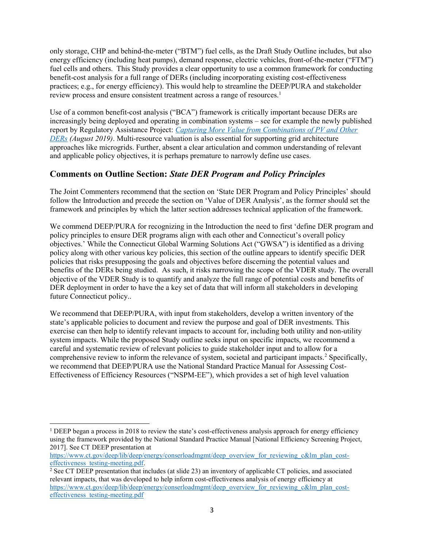only storage, CHP and behind-the-meter ("BTM") fuel cells, as the Draft Study Outline includes, but also energy efficiency (including heat pumps), demand response, electric vehicles, front-of-the-meter ("FTM") fuel cells and others. This Study provides a clear opportunity to use a common framework for conducting benefit-cost analysis for a full range of DERs (including incorporating existing cost-effectiveness practices; e.g., for energy efficiency). This would help to streamline the DEEP/PURA and stakeholder review process and ensure consistent treatment across a range of resources.<sup>1</sup>

Use of a common benefit-cost analysis ("BCA") framework is critically important because DERs are increasingly being deployed and operating in combination systems – see for example the newly published report by Regulatory Assistance Project: Capturing More Value from Combinations of PV and Other DERs (August 2019). Multi-resource valuation is also essential for supporting grid architecture approaches like microgrids. Further, absent a clear articulation and common understanding of relevant and applicable policy objectives, it is perhaps premature to narrowly define use cases.

# Comments on Outline Section: State DER Program and Policy Principles

The Joint Commenters recommend that the section on 'State DER Program and Policy Principles' should follow the Introduction and precede the section on 'Value of DER Analysis', as the former should set the framework and principles by which the latter section addresses technical application of the framework.

We commend DEEP/PURA for recognizing in the Introduction the need to first 'define DER program and policy principles to ensure DER programs align with each other and Connecticut's overall policy objectives.' While the Connecticut Global Warming Solutions Act ("GWSA") is identified as a driving policy along with other various key policies, this section of the outline appears to identify specific DER policies that risks presupposing the goals and objectives before discerning the potential values and benefits of the DERs being studied. As such, it risks narrowing the scope of the VDER study. The overall objective of the VDER Study is to quantify and analyze the full range of potential costs and benefits of DER deployment in order to have the a key set of data that will inform all stakeholders in developing future Connecticut policy..

We recommend that DEEP/PURA, with input from stakeholders, develop a written inventory of the state's applicable policies to document and review the purpose and goal of DER investments. This exercise can then help to identify relevant impacts to account for, including both utility and non-utility system impacts. While the proposed Study outline seeks input on specific impacts, we recommend a careful and systematic review of relevant policies to guide stakeholder input and to allow for a comprehensive review to inform the relevance of system, societal and participant impacts.<sup>2</sup> Specifically, we recommend that DEEP/PURA use the National Standard Practice Manual for Assessing Cost-Effectiveness of Efficiency Resources ("NSPM-EE"), which provides a set of high level valuation

 $\overline{a}$ 

<sup>&</sup>lt;sup>1</sup> DEEP began a process in 2018 to review the state's cost-effectiveness analysis approach for energy efficiency using the framework provided by the National Standard Practice Manual [National Efficiency Screening Project, 2017]. See CT DEEP presentation at

https://www.ct.gov/deep/lib/deep/energy/conserloadmgmt/deep\_overview\_for\_reviewing\_c&lm\_plan\_costeffectiveness\_testing-meeting.pdf.

<sup>&</sup>lt;sup>2</sup> See CT DEEP presentation that includes (at slide 23) an inventory of applicable CT policies, and associated relevant impacts, that was developed to help inform cost-effectiveness analysis of energy efficiency at https://www.ct.gov/deep/lib/deep/energy/conserloadmgmt/deep\_overview\_for\_reviewing\_c&lm\_plan\_costeffectiveness\_testing-meeting.pdf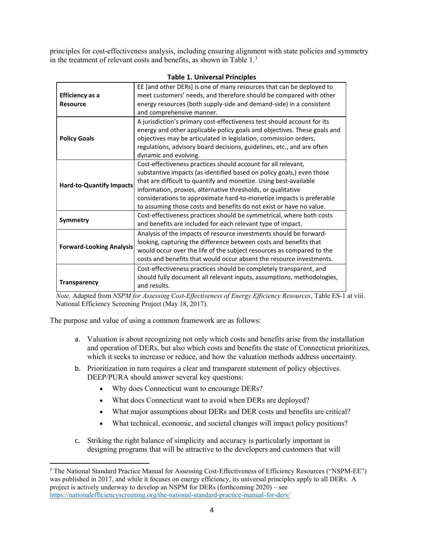principles for cost-effectiveness analysis, including ensuring alignment with state policies and symmetry in the treatment of relevant costs and benefits, as shown in Table 1.<sup>3</sup>

|                                 | EE [and other DERs] is one of many resources that can be deployed to     |  |
|---------------------------------|--------------------------------------------------------------------------|--|
| <b>Efficiency as a</b>          | meet customers' needs, and therefore should be compared with other       |  |
| <b>Resource</b>                 | energy resources (both supply-side and demand-side) in a consistent      |  |
|                                 | and comprehensive manner.                                                |  |
| <b>Policy Goals</b>             | A jurisdiction's primary cost-effectiveness test should account for its  |  |
|                                 | energy and other applicable policy goals and objectives. These goals and |  |
|                                 | objectives may be articulated in legislation, commission orders,         |  |
|                                 | regulations, advisory board decisions, guidelines, etc., and are often   |  |
|                                 | dynamic and evolving.                                                    |  |
| <b>Hard-to-Quantify Impacts</b> | Cost-effectiveness practices should account for all relevant,            |  |
|                                 | substantive impacts (as identified based on policy goals,) even those    |  |
|                                 | that are difficult to quantify and monetize. Using best-available        |  |
|                                 | information, proxies, alternative thresholds, or qualitative             |  |
|                                 | considerations to approximate hard-to-monetize impacts is preferable     |  |
|                                 | to assuming those costs and benefits do not exist or have no value.      |  |
| Symmetry                        | Cost-effectiveness practices should be symmetrical, where both costs     |  |
|                                 | and benefits are included for each relevant type of impact.              |  |
| <b>Forward-Looking Analysis</b> | Analysis of the impacts of resource investments should be forward-       |  |
|                                 | looking, capturing the difference between costs and benefits that        |  |
|                                 | would occur over the life of the subject resources as compared to the    |  |
|                                 | costs and benefits that would occur absent the resource investments.     |  |
|                                 | Cost-effectiveness practices should be completely transparent, and       |  |
| <b>Transparency</b>             | should fully document all relevant inputs, assumptions, methodologies,   |  |
|                                 | and results.                                                             |  |

#### Table 1. Universal Principles

Note. Adapted from NSPM for Assessing Cost-Effectiveness of Energy Efficiency Resources, Table ES-1 at viii. National Efficiency Screening Project (May 18, 2017).

The purpose and value of using a common framework are as follows:

- a. Valuation is about recognizing not only which costs and benefits arise from the installation and operation of DERs, but also which costs and benefits the state of Connecticut prioritizes, which it seeks to increase or reduce, and how the valuation methods address uncertainty.
- b. Prioritization in turn requires a clear and transparent statement of policy objectives. DEEP/PURA should answer several key questions:
	- Why does Connecticut want to encourage DERs?
	- What does Connecticut want to avoid when DERs are deployed?
	- What major assumptions about DERs and DER costs and benefits are critical?
	- What technical, economic, and societal changes will impact policy positions?
- c. Striking the right balance of simplicity and accuracy is particularly important in designing programs that will be attractive to the developers and customers that will

<sup>&</sup>lt;sup>3</sup> The National Standard Practice Manual for Assessing Cost-Effectiveness of Efficiency Resources ("NSPM-EE") was published in 2017, and while it focuses on energy efficiency, its universal principles apply to all DERs. A project is actively underway to develop an NSPM for DERs (forthcoming 2020) – see https://nationalefficiencyscreening.org/the-national-standard-practice-manual-for-ders/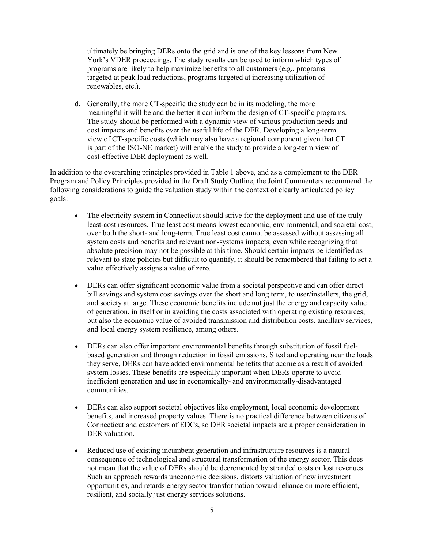ultimately be bringing DERs onto the grid and is one of the key lessons from New York's VDER proceedings. The study results can be used to inform which types of programs are likely to help maximize benefits to all customers (e.g., programs targeted at peak load reductions, programs targeted at increasing utilization of renewables, etc.).

d. Generally, the more CT-specific the study can be in its modeling, the more meaningful it will be and the better it can inform the design of CT-specific programs. The study should be performed with a dynamic view of various production needs and cost impacts and benefits over the useful life of the DER. Developing a long-term view of CT-specific costs (which may also have a regional component given that CT is part of the ISO-NE market) will enable the study to provide a long-term view of cost-effective DER deployment as well.

In addition to the overarching principles provided in Table 1 above, and as a complement to the DER Program and Policy Principles provided in the Draft Study Outline, the Joint Commenters recommend the following considerations to guide the valuation study within the context of clearly articulated policy goals:

- The electricity system in Connecticut should strive for the deployment and use of the truly least-cost resources. True least cost means lowest economic, environmental, and societal cost, over both the short- and long-term. True least cost cannot be assessed without assessing all system costs and benefits and relevant non-systems impacts, even while recognizing that absolute precision may not be possible at this time. Should certain impacts be identified as relevant to state policies but difficult to quantify, it should be remembered that failing to set a value effectively assigns a value of zero.
- DERs can offer significant economic value from a societal perspective and can offer direct bill savings and system cost savings over the short and long term, to user/installers, the grid, and society at large. These economic benefits include not just the energy and capacity value of generation, in itself or in avoiding the costs associated with operating existing resources, but also the economic value of avoided transmission and distribution costs, ancillary services, and local energy system resilience, among others.
- DERs can also offer important environmental benefits through substitution of fossil fuelbased generation and through reduction in fossil emissions. Sited and operating near the loads they serve, DERs can have added environmental benefits that accrue as a result of avoided system losses. These benefits are especially important when DERs operate to avoid inefficient generation and use in economically- and environmentally-disadvantaged communities.
- DERs can also support societal objectives like employment, local economic development benefits, and increased property values. There is no practical difference between citizens of Connecticut and customers of EDCs, so DER societal impacts are a proper consideration in DER valuation.
- Reduced use of existing incumbent generation and infrastructure resources is a natural consequence of technological and structural transformation of the energy sector. This does not mean that the value of DERs should be decremented by stranded costs or lost revenues. Such an approach rewards uneconomic decisions, distorts valuation of new investment opportunities, and retards energy sector transformation toward reliance on more efficient, resilient, and socially just energy services solutions.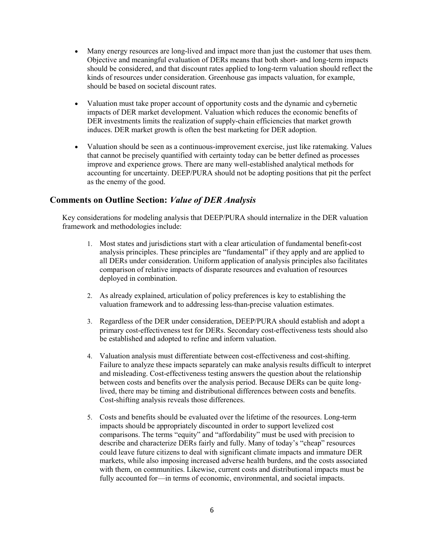- Many energy resources are long-lived and impact more than just the customer that uses them. Objective and meaningful evaluation of DERs means that both short- and long-term impacts should be considered, and that discount rates applied to long-term valuation should reflect the kinds of resources under consideration. Greenhouse gas impacts valuation, for example, should be based on societal discount rates.
- Valuation must take proper account of opportunity costs and the dynamic and cybernetic impacts of DER market development. Valuation which reduces the economic benefits of DER investments limits the realization of supply-chain efficiencies that market growth induces. DER market growth is often the best marketing for DER adoption.
- Valuation should be seen as a continuous-improvement exercise, just like ratemaking. Values that cannot be precisely quantified with certainty today can be better defined as processes improve and experience grows. There are many well-established analytical methods for accounting for uncertainty. DEEP/PURA should not be adopting positions that pit the perfect as the enemy of the good.

## Comments on Outline Section: Value of DER Analysis

Key considerations for modeling analysis that DEEP/PURA should internalize in the DER valuation framework and methodologies include:

- 1. Most states and jurisdictions start with a clear articulation of fundamental benefit-cost analysis principles. These principles are "fundamental" if they apply and are applied to all DERs under consideration. Uniform application of analysis principles also facilitates comparison of relative impacts of disparate resources and evaluation of resources deployed in combination.
- 2. As already explained, articulation of policy preferences is key to establishing the valuation framework and to addressing less-than-precise valuation estimates.
- 3. Regardless of the DER under consideration, DEEP/PURA should establish and adopt a primary cost-effectiveness test for DERs. Secondary cost-effectiveness tests should also be established and adopted to refine and inform valuation.
- 4. Valuation analysis must differentiate between cost-effectiveness and cost-shifting. Failure to analyze these impacts separately can make analysis results difficult to interpret and misleading. Cost-effectiveness testing answers the question about the relationship between costs and benefits over the analysis period. Because DERs can be quite longlived, there may be timing and distributional differences between costs and benefits. Cost-shifting analysis reveals those differences.
- 5. Costs and benefits should be evaluated over the lifetime of the resources. Long-term impacts should be appropriately discounted in order to support levelized cost comparisons. The terms "equity" and "affordability" must be used with precision to describe and characterize DERs fairly and fully. Many of today's "cheap" resources could leave future citizens to deal with significant climate impacts and immature DER markets, while also imposing increased adverse health burdens, and the costs associated with them, on communities. Likewise, current costs and distributional impacts must be fully accounted for—in terms of economic, environmental, and societal impacts.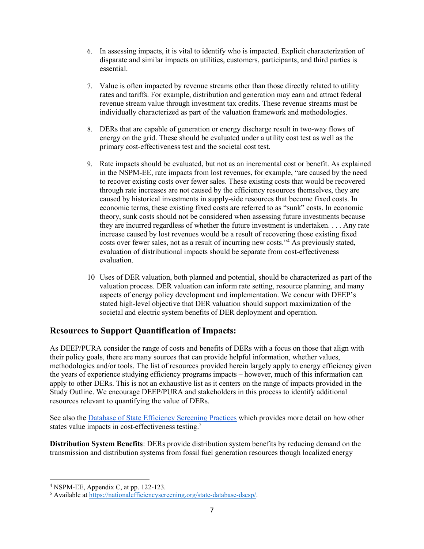- 6. In assessing impacts, it is vital to identify who is impacted. Explicit characterization of disparate and similar impacts on utilities, customers, participants, and third parties is essential.
- 7. Value is often impacted by revenue streams other than those directly related to utility rates and tariffs. For example, distribution and generation may earn and attract federal revenue stream value through investment tax credits. These revenue streams must be individually characterized as part of the valuation framework and methodologies.
- 8. DERs that are capable of generation or energy discharge result in two-way flows of energy on the grid. These should be evaluated under a utility cost test as well as the primary cost-effectiveness test and the societal cost test.
- 9. Rate impacts should be evaluated, but not as an incremental cost or benefit. As explained in the NSPM-EE, rate impacts from lost revenues, for example, "are caused by the need to recover existing costs over fewer sales. These existing costs that would be recovered through rate increases are not caused by the efficiency resources themselves, they are caused by historical investments in supply-side resources that become fixed costs. In economic terms, these existing fixed costs are referred to as "sunk" costs. In economic theory, sunk costs should not be considered when assessing future investments because they are incurred regardless of whether the future investment is undertaken. . . . Any rate increase caused by lost revenues would be a result of recovering those existing fixed costs over fewer sales, not as a result of incurring new costs."<sup>4</sup> As previously stated, evaluation of distributional impacts should be separate from cost-effectiveness evaluation.
- 10 Uses of DER valuation, both planned and potential, should be characterized as part of the valuation process. DER valuation can inform rate setting, resource planning, and many aspects of energy policy development and implementation. We concur with DEEP's stated high-level objective that DER valuation should support maximization of the societal and electric system benefits of DER deployment and operation.

# Resources to Support Quantification of Impacts:

As DEEP/PURA consider the range of costs and benefits of DERs with a focus on those that align with their policy goals, there are many sources that can provide helpful information, whether values, methodologies and/or tools. The list of resources provided herein largely apply to energy efficiency given the years of experience studying efficiency programs impacts – however, much of this information can apply to other DERs. This is not an exhaustive list as it centers on the range of impacts provided in the Study Outline. We encourage DEEP/PURA and stakeholders in this process to identify additional resources relevant to quantifying the value of DERs.

See also the Database of State Efficiency Screening Practices which provides more detail on how other states value impacts in cost-effectiveness testing.<sup>5</sup>

Distribution System Benefits: DERs provide distribution system benefits by reducing demand on the transmission and distribution systems from fossil fuel generation resources though localized energy

<sup>4</sup> NSPM-EE, Appendix C, at pp. 122-123.

<sup>&</sup>lt;sup>5</sup> Available at https://nationalefficiencyscreening.org/state-database-dsesp/.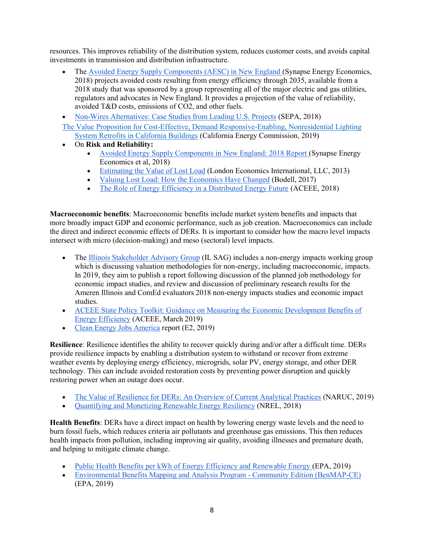resources. This improves reliability of the distribution system, reduces customer costs, and avoids capital investments in transmission and distribution infrastructure.

- The Avoided Energy Supply Components (AESC) in New England (Synapse Energy Economics, 2018) projects avoided costs resulting from energy efficiency through 2035, available from a 2018 study that was sponsored by a group representing all of the major electric and gas utilities, regulators and advocates in New England. It provides a projection of the value of reliability, avoided T&D costs, emissions of CO2, and other fuels.
- Non-Wires Alternatives: Case Studies from Leading U.S. Projects (SEPA, 2018)

The Value Proposition for Cost-Effective, Demand Responsive-Enabling, Nonresidential Lighting System Retrofits in California Buildings (California Energy Commission, 2019)

- On Risk and Reliability:
	- Avoided Energy Supply Components in New England: 2018 Report (Synapse Energy Economics et al, 2018)
	- Estimating the Value of Lost Load (London Economics International, LLC, 2013)
	- Valuing Lost Load: How the Economics Have Changed (Bodell, 2017)
	- The Role of Energy Efficiency in a Distributed Energy Future (ACEEE, 2018)

Macroeconomic benefits: Macroeconomic benefits include market system benefits and impacts that more broadly impact GDP and economic performance, such as job creation. Macroeconomics can include the direct and indirect economic effects of DERs. It is important to consider how the macro level impacts intersect with micro (decision-making) and meso (sectoral) level impacts.

- The Illinois Stakeholder Advisory Group (IL SAG) includes a non-energy impacts working group which is discussing valuation methodologies for non-energy, including macroeconomic, impacts. In 2019, they aim to publish a report following discussion of the planned job methodology for economic impact studies, and review and discussion of preliminary research results for the Ameren Illinois and ComEd evaluators 2018 non-energy impacts studies and economic impact studies.
- ACEEE State Policy Toolkit: Guidance on Measuring the Economic Development Benefits of Energy Efficiency (ACEEE, March 2019)
- Clean Energy Jobs America report (E2, 2019)

Resilience: Resilience identifies the ability to recover quickly during and/or after a difficult time. DERs provide resilience impacts by enabling a distribution system to withstand or recover from extreme weather events by deploying energy efficiency, microgrids, solar PV, energy storage, and other DER technology. This can include avoided restoration costs by preventing power disruption and quickly restoring power when an outage does occur.

- The Value of Resilience for DERs: An Overview of Current Analytical Practices (NARUC, 2019)
- Quantifying and Monetizing Renewable Energy Resiliency (NREL, 2018)

Health Benefits: DERs have a direct impact on health by lowering energy waste levels and the need to burn fossil fuels, which reduces criteria air pollutants and greenhouse gas emissions. This then reduces health impacts from pollution, including improving air quality, avoiding illnesses and premature death, and helping to mitigate climate change.

- Public Health Benefits per kWh of Energy Efficiency and Renewable Energy (EPA, 2019)
- Environmental Benefits Mapping and Analysis Program Community Edition (BenMAP-CE) (EPA, 2019)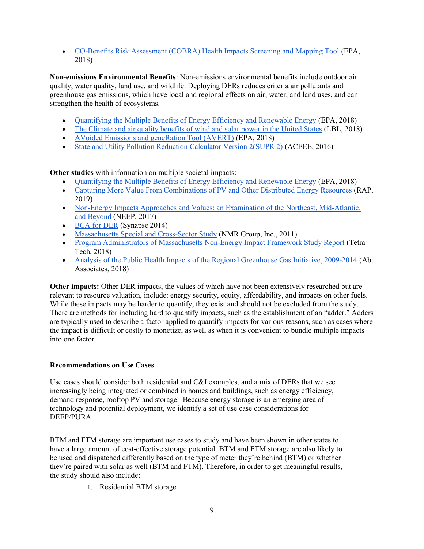CO-Benefits Risk Assessment (COBRA) Health Impacts Screening and Mapping Tool (EPA, 2018)

Non-emissions Environmental Benefits: Non-emissions environmental benefits include outdoor air quality, water quality, land use, and wildlife. Deploying DERs reduces criteria air pollutants and greenhouse gas emissions, which have local and regional effects on air, water, and land uses, and can strengthen the health of ecosystems.

- Quantifying the Multiple Benefits of Energy Efficiency and Renewable Energy (EPA, 2018)
- The Climate and air quality benefits of wind and solar power in the United States (LBL, 2018)
- AVoided Emissions and geneRation Tool (AVERT) (EPA, 2018)
- State and Utility Pollution Reduction Calculator Version 2(SUPR 2) (ACEEE, 2016)

Other studies with information on multiple societal impacts:

- Quantifying the Multiple Benefits of Energy Efficiency and Renewable Energy (EPA, 2018)
- Capturing More Value From Combinations of PV and Other Distributed Energy Resources (RAP, 2019)
- Non-Energy Impacts Approaches and Values: an Examination of the Northeast, Mid-Atlantic, and Beyond (NEEP, 2017)
- BCA for DER (Synapse 2014)
- Massachusetts Special and Cross-Sector Study (NMR Group, Inc., 2011)
- Program Administrators of Massachusetts Non-Energy Impact Framework Study Report (Tetra Tech, 2018)
- Analysis of the Public Health Impacts of the Regional Greenhouse Gas Initiative, 2009-2014 (Abt Associates, 2018)

Other impacts: Other DER impacts, the values of which have not been extensively researched but are relevant to resource valuation, include: energy security, equity, affordability, and impacts on other fuels. While these impacts may be harder to quantify, they exist and should not be excluded from the study. There are methods for including hard to quantify impacts, such as the establishment of an "adder." Adders are typically used to describe a factor applied to quantify impacts for various reasons, such as cases where the impact is difficult or costly to monetize, as well as when it is convenient to bundle multiple impacts into one factor.

## Recommendations on Use Cases

Use cases should consider both residential and C&I examples, and a mix of DERs that we see increasingly being integrated or combined in homes and buildings, such as energy efficiency, demand response, rooftop PV and storage. Because energy storage is an emerging area of technology and potential deployment, we identify a set of use case considerations for DEEP/PURA.

BTM and FTM storage are important use cases to study and have been shown in other states to have a large amount of cost-effective storage potential. BTM and FTM storage are also likely to be used and dispatched differently based on the type of meter they're behind (BTM) or whether they're paired with solar as well (BTM and FTM). Therefore, in order to get meaningful results, the study should also include:

1. Residential BTM storage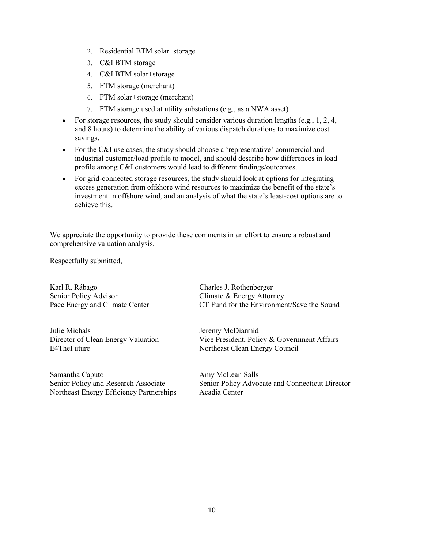- 2. Residential BTM solar+storage
- 3. C&I BTM storage
- 4. C&I BTM solar+storage
- 5. FTM storage (merchant)
- 6. FTM solar+storage (merchant)
- 7. FTM storage used at utility substations (e.g., as a NWA asset)
- For storage resources, the study should consider various duration lengths (e.g., 1, 2, 4, and 8 hours) to determine the ability of various dispatch durations to maximize cost savings.
- For the C&I use cases, the study should choose a 'representative' commercial and industrial customer/load profile to model, and should describe how differences in load profile among C&I customers would lead to different findings/outcomes.
- For grid-connected storage resources, the study should look at options for integrating excess generation from offshore wind resources to maximize the benefit of the state's investment in offshore wind, and an analysis of what the state's least-cost options are to achieve this.

We appreciate the opportunity to provide these comments in an effort to ensure a robust and comprehensive valuation analysis.

Respectfully submitted,

Karl R. Rábago Charles J. Rothenberger Senior Policy Advisor Climate & Energy Attorney

Julie Michals Jeremy McDiarmid E4TheFuture Northeast Clean Energy Council

Samantha Caputo **Amy McLean Salls** Northeast Energy Efficiency Partnerships Acadia Center

Pace Energy and Climate Center CT Fund for the Environment/Save the Sound

Director of Clean Energy Valuation Vice President, Policy & Government Affairs

Senior Policy and Research Associate Senior Policy Advocate and Connecticut Director